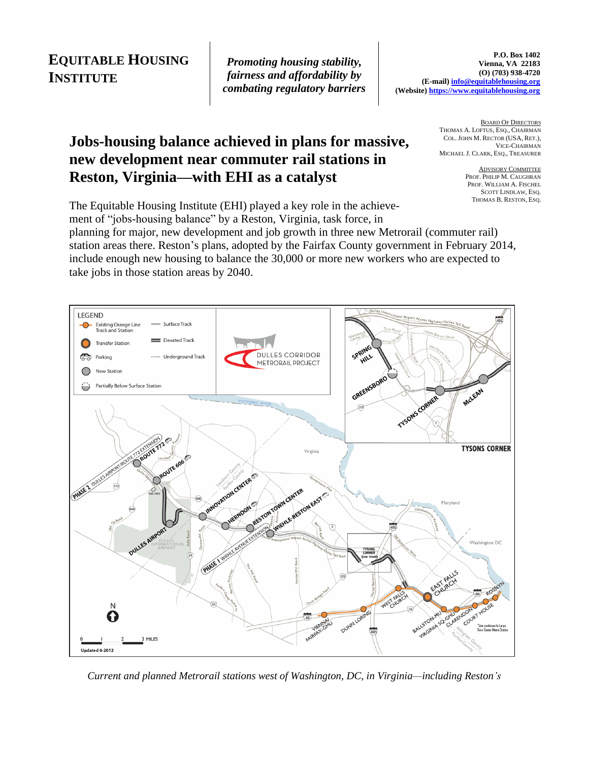# **EQUITABLE HOUSING INSTITUTE**

*Promoting housing stability, fairness and affordability by combating regulatory barriers*

## **Jobs-housing balance achieved in plans for massive, new development near commuter rail stations in Reston, Virginia—with EHI as a catalyst**

BOARD OF DIRECTORS THOMAS A. LOFTUS, ESQ., CHAIRMAN COL. JOHN M. RECTOR (USA, RET.), VICE-CHAIRMAN MICHAEL J. CLARK, ESQ., TREASURER

> ADVISORY COMMITTEE PROF. PHILIP M. CAUGHRAN PROF. WILLIAM A. FISCHEL SCOTT LINDLAW, ESQ. THOMAS B. RESTON, ESQ.

The Equitable Housing Institute (EHI) played a key role in the achievement of "jobs-housing balance" by a Reston, Virginia, task force, in planning for major, new development and job growth in three new Metrorail (commuter rail) station areas there. Reston's plans, adopted by the Fairfax County government in February 2014, include enough new housing to balance the 30,000 or more new workers who are expected to take jobs in those station areas by 2040.



*Current and planned Metrorail stations west of Washington, DC, in Virginia—including Reston's*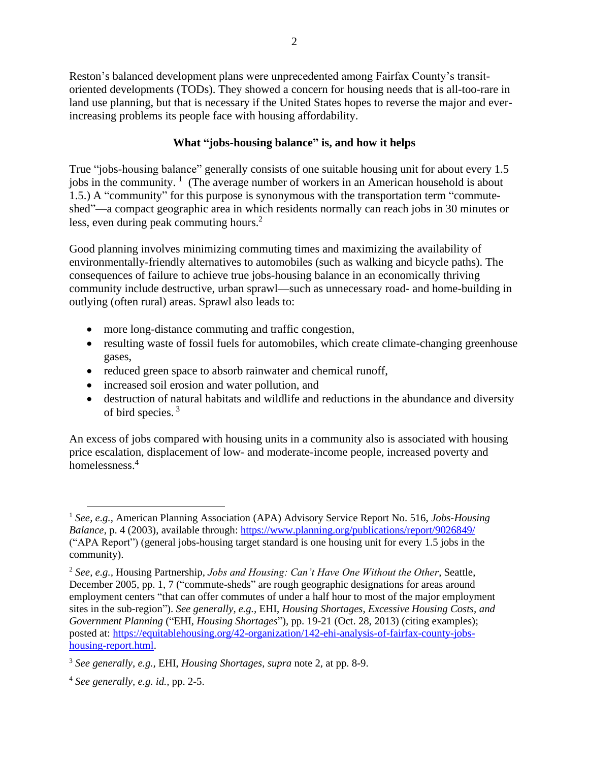Reston's balanced development plans were unprecedented among Fairfax County's transitoriented developments (TODs). They showed a concern for housing needs that is all-too-rare in land use planning, but that is necessary if the United States hopes to reverse the major and everincreasing problems its people face with housing affordability.

## **What "jobs-housing balance" is, and how it helps**

True "jobs-housing balance" generally consists of one suitable housing unit for about every 1.5 jobs in the community. 1 (The average number of workers in an American household is about 1.5.) A "community" for this purpose is synonymous with the transportation term "commuteshed"—a compact geographic area in which residents normally can reach jobs in 30 minutes or less, even during peak commuting hours. 2

Good planning involves minimizing commuting times and maximizing the availability of environmentally-friendly alternatives to automobiles (such as walking and bicycle paths). The consequences of failure to achieve true jobs-housing balance in an economically thriving community include destructive, urban sprawl—such as unnecessary road- and home-building in outlying (often rural) areas. Sprawl also leads to:

- more long-distance commuting and traffic congestion,
- resulting waste of fossil fuels for automobiles, which create climate-changing greenhouse gases,
- reduced green space to absorb rainwater and chemical runoff,
- increased soil erosion and water pollution, and
- destruction of natural habitats and wildlife and reductions in the abundance and diversity of bird species. 3

An excess of jobs compared with housing units in a community also is associated with housing price escalation, displacement of low- and moderate-income people, increased poverty and homelessness. 4

<sup>1</sup> *See, e.g.,* American Planning Association (APA) Advisory Service Report No. 516, *Jobs-Housing Balance*, p. 4 (2003), available through: <https://www.planning.org/publications/report/9026849/> ("APA Report") (general jobs-housing target standard is one housing unit for every 1.5 jobs in the community).

<sup>2</sup> *See, e.g.,* Housing Partnership, *Jobs and Housing: Can't Have One Without the Other*, Seattle, December 2005, pp. 1, 7 ("commute-sheds" are rough geographic designations for areas around employment centers "that can offer commutes of under a half hour to most of the major employment sites in the sub-region"). *See generally, e.g.,* EHI, *Housing Shortages, Excessive Housing Costs, and Government Planning* ("EHI, *Housing Shortages*")*,* pp. 19-21 (Oct. 28, 2013) (citing examples); posted at: [https://equitablehousing.org/42-organization/142-ehi-analysis-of-fairfax-county-jobs](https://equitablehousing.org/42-organization/142-ehi-analysis-of-fairfax-county-jobs-housing-report.html)[housing-report.html.](https://equitablehousing.org/42-organization/142-ehi-analysis-of-fairfax-county-jobs-housing-report.html)

<sup>3</sup> *See generally, e.g.,* EHI, *Housing Shortages, supra* note 2, at pp. 8-9.

<sup>4</sup> *See generally, e.g. id.,* pp. 2-5.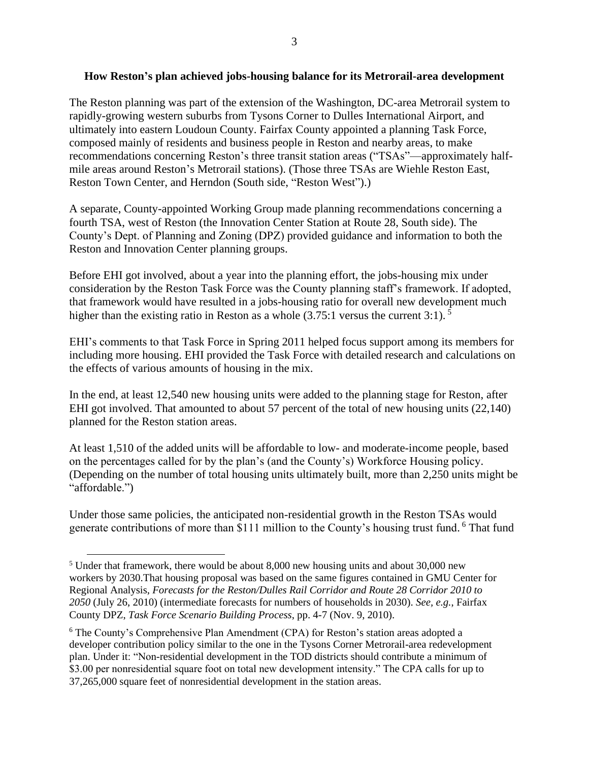#### **How Reston's plan achieved jobs-housing balance for its Metrorail-area development**

The Reston planning was part of the extension of the Washington, DC-area Metrorail system to rapidly-growing western suburbs from Tysons Corner to Dulles International Airport, and ultimately into eastern Loudoun County. Fairfax County appointed a planning Task Force, composed mainly of residents and business people in Reston and nearby areas, to make recommendations concerning Reston's three transit station areas ("TSAs"—approximately halfmile areas around Reston's Metrorail stations). (Those three TSAs are Wiehle Reston East, Reston Town Center, and Herndon (South side, "Reston West").)

A separate, County-appointed Working Group made planning recommendations concerning a fourth TSA, west of Reston (the Innovation Center Station at Route 28, South side). The County's Dept. of Planning and Zoning (DPZ) provided guidance and information to both the Reston and Innovation Center planning groups.

Before EHI got involved, about a year into the planning effort, the jobs-housing mix under consideration by the Reston Task Force was the County planning staff's framework. If adopted, that framework would have resulted in a jobs-housing ratio for overall new development much higher than the existing ratio in Reston as a whole  $(3.75:1$  versus the current 3:1).<sup>5</sup>

EHI's comments to that Task Force in Spring 2011 helped focus support among its members for including more housing. EHI provided the Task Force with detailed research and calculations on the effects of various amounts of housing in the mix.

In the end, at least 12,540 new housing units were added to the planning stage for Reston, after EHI got involved. That amounted to about 57 percent of the total of new housing units (22,140) planned for the Reston station areas.

At least 1,510 of the added units will be affordable to low- and moderate-income people, based on the percentages called for by the plan's (and the County's) Workforce Housing policy. (Depending on the number of total housing units ultimately built, more than 2,250 units might be "affordable.")

Under those same policies, the anticipated non-residential growth in the Reston TSAs would generate contributions of more than \$111 million to the County's housing trust fund. <sup>6</sup> That fund

<sup>5</sup> Under that framework, there would be about 8,000 new housing units and about 30,000 new workers by 2030.That housing proposal was based on the same figures contained in GMU Center for Regional Analysis, *Forecasts for the Reston/Dulles Rail Corridor and Route 28 Corridor 2010 to 2050* (July 26, 2010) (intermediate forecasts for numbers of households in 2030). *See, e.g.*, Fairfax County DPZ, *Task Force Scenario Building Process*, pp. 4-7 (Nov. 9, 2010).

<sup>6</sup> The County's Comprehensive Plan Amendment (CPA) for Reston's station areas adopted a developer contribution policy similar to the one in the Tysons Corner Metrorail-area redevelopment plan. Under it: "Non-residential development in the TOD districts should contribute a minimum of \$3.00 per nonresidential square foot on total new development intensity." The CPA calls for up to 37,265,000 square feet of nonresidential development in the station areas.